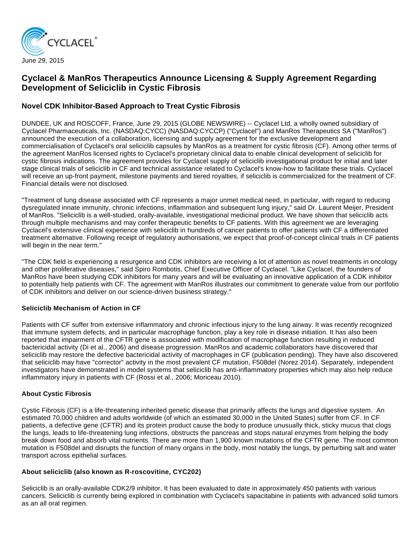

# **Cyclacel & ManRos Therapeutics Announce Licensing & Supply Agreement Regarding Development of Seliciclib in Cystic Fibrosis**

# **Novel CDK Inhibitor-Based Approach to Treat Cystic Fibrosis**

DUNDEE, UK and ROSCOFF, France, June 29, 2015 (GLOBE NEWSWIRE) -- Cyclacel Ltd, a wholly owned subsidiary of Cyclacel Pharmaceuticals, Inc. (NASDAQ:CYCC) (NASDAQ:CYCCP) ("Cyclacel") and ManRos Therapeutics SA ("ManRos") announced the execution of a collaboration, licensing and supply agreement for the exclusive development and commercialisation of Cyclacel's oral seliciclib capsules by ManRos as a treatment for cystic fibrosis (CF). Among other terms of the agreement ManRos licensed rights to Cyclacel's proprietary clinical data to enable clinical development of seliciclib for cystic fibrosis indications. The agreement provides for Cyclacel supply of seliciclib investigational product for initial and later stage clinical trials of seliciclib in CF and technical assistance related to Cyclacel's know-how to facilitate these trials. Cyclacel will receive an up-front payment, milestone payments and tiered royalties, if seliciclib is commercialized for the treatment of CF. Financial details were not disclosed.

"Treatment of lung disease associated with CF represents a major unmet medical need, in particular, with regard to reducing dysregulated innate immunity, chronic infections, inflammation and subsequent lung injury," said Dr. Laurent Meijer, President of ManRos. "Seliciclib is a well-studied, orally-available, investigational medicinal product. We have shown that seliciclib acts through multiple mechanisms and may confer therapeutic benefits to CF patients. With this agreement we are leveraging Cyclacel's extensive clinical experience with seliciclib in hundreds of cancer patients to offer patients with CF a differentiated treatment alternative. Following receipt of regulatory authorisations, we expect that proof-of-concept clinical trials in CF patients will begin in the near term."

"The CDK field is experiencing a resurgence and CDK inhibitors are receiving a lot of attention as novel treatments in oncology and other proliferative diseases," said Spiro Rombotis, Chief Executive Officer of Cyclacel. "Like Cyclacel, the founders of ManRos have been studying CDK inhibitors for many years and will be evaluating an innovative application of a CDK inhibitor to potentially help patients with CF. The agreement with ManRos illustrates our commitment to generate value from our portfolio of CDK inhibitors and deliver on our science-driven business strategy."

## **Seliciclib Mechanism of Action in CF**

Patients with CF suffer from extensive inflammatory and chronic infectious injury to the lung airway. It was recently recognized that immune system defects, and in particular macrophage function, play a key role in disease initiation. It has also been reported that impairment of the CFTR gene is associated with modification of macrophage function resulting in reduced bactericidal activity (Di et al., 2006) and disease progression. ManRos and academic collaborators have discovered that seliciclib may restore the defective bactericidal activity of macrophages in CF (publication pending). They have also discovered that seliciclib may have "corrector" activity in the most prevalent CF mutation, F508del (Norez 2014). Separately, independent investigators have demonstrated in model systems that seliciclib has anti-inflammatory properties which may also help reduce inflammatory injury in patients with CF (Rossi et al., 2006; Moriceau 2010).

## **About Cystic Fibrosis**

Cystic Fibrosis (CF) is a life-threatening inherited genetic disease that primarily affects the lungs and digestive system. An estimated 70,000 children and adults worldwide (of which an estimated 30,000 in the United States) suffer from CF. In CF patients, a defective gene (CFTR) and its protein product cause the body to produce unusually thick, sticky mucus that clogs the lungs, leads to life-threatening lung infections, obstructs the pancreas and stops natural enzymes from helping the body break down food and absorb vital nutrients. There are more than 1,900 known mutations of the CFTR gene. The most common mutation is F508del and disrupts the function of many organs in the body, most notably the lungs, by perturbing salt and water transport across epithelial surfaces.

#### **About seliciclib (also known as R-roscovitine, CYC202)**

Seliciclib is an orally-available CDK2/9 inhibitor. It has been evaluated to date in approximately 450 patients with various cancers. Seliciclib is currently being explored in combination with Cyclacel's sapacitabine in patients with advanced solid tumors as an all oral regimen.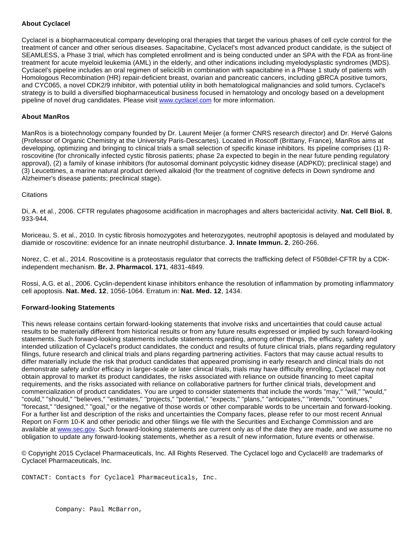#### **About Cyclacel**

Cyclacel is a biopharmaceutical company developing oral therapies that target the various phases of cell cycle control for the treatment of cancer and other serious diseases. Sapacitabine, Cyclacel's most advanced product candidate, is the subject of SEAMLESS, a Phase 3 trial, which has completed enrollment and is being conducted under an SPA with the FDA as front-line treatment for acute myeloid leukemia (AML) in the elderly, and other indications including myelodysplastic syndromes (MDS). Cyclacel's pipeline includes an oral regimen of seliciclib in combination with sapacitabine in a Phase 1 study of patients with Homologous Recombination (HR) repair-deficient breast, ovarian and pancreatic cancers, including gBRCA positive tumors, and CYC065, a novel CDK2/9 inhibitor, with potential utility in both hematological malignancies and solid tumors. Cyclacel's strategy is to build a diversified biopharmaceutical business focused in hematology and oncology based on a development pipeline of novel drug candidates. Please visit [www.cyclacel.com](http://www.globenewswire.com/newsroom/ctr?d=10139988&l=11&a=www.cyclacel.com&u=http%3A%2F%2Fwww.cyclacel.com) for more information.

#### **About ManRos**

ManRos is a biotechnology company founded by Dr. Laurent Meijer (a former CNRS research director) and Dr. Hervé Galons (Professor of Organic Chemistry at the University Paris-Descartes). Located in Roscoff (Brittany, France), ManRos aims at developing, optimizing and bringing to clinical trials a small selection of specific kinase inhibitors. Its pipeline comprises (1) Rroscovitine (for chronically infected cystic fibrosis patients; phase 2a expected to begin in the near future pending regulatory approval), (2) a family of kinase inhibitors (for autosomal dominant polycystic kidney disease (ADPKD); preclinical stage) and (3) Leucettines, a marine natural product derived alkaloid (for the treatment of cognitive defects in Down syndrome and Alzheimer's disease patients; preclinical stage).

#### **Citations**

Di, A. et al., 2006. CFTR regulates phagosome acidification in macrophages and alters bactericidal activity. **Nat. Cell Biol. 8**, 933-944.

Moriceau, S. et al., 2010. In cystic fibrosis homozygotes and heterozygotes, neutrophil apoptosis is delayed and modulated by diamide or roscovitine: evidence for an innate neutrophil disturbance. **J. Innate Immun. 2**, 260-266.

Norez, C. et al., 2014. Roscovitine is a proteostasis regulator that corrects the trafficking defect of F508del-CFTR by a CDKindependent mechanism. **Br. J. Pharmacol. 171**, 4831-4849.

Rossi, A.G. et al., 2006. Cyclin-dependent kinase inhibitors enhance the resolution of inflammation by promoting inflammatory cell apoptosis. **Nat. Med. 12**, 1056-1064. Erratum in: **Nat. Med. 12**, 1434.

#### **Forward-looking Statements**

This news release contains certain forward-looking statements that involve risks and uncertainties that could cause actual results to be materially different from historical results or from any future results expressed or implied by such forward-looking statements. Such forward-looking statements include statements regarding, among other things, the efficacy, safety and intended utilization of Cyclacel's product candidates, the conduct and results of future clinical trials, plans regarding regulatory filings, future research and clinical trials and plans regarding partnering activities. Factors that may cause actual results to differ materially include the risk that product candidates that appeared promising in early research and clinical trials do not demonstrate safety and/or efficacy in larger-scale or later clinical trials, trials may have difficulty enrolling, Cyclacel may not obtain approval to market its product candidates, the risks associated with reliance on outside financing to meet capital requirements, and the risks associated with reliance on collaborative partners for further clinical trials, development and commercialization of product candidates. You are urged to consider statements that include the words "may," "will," "would," "could," "should," "believes," "estimates," "projects," "potential," "expects," "plans," "anticipates," "intends," "continues," "forecast," "designed," "goal," or the negative of those words or other comparable words to be uncertain and forward-looking. For a further list and description of the risks and uncertainties the Company faces, please refer to our most recent Annual Report on Form 10-K and other periodic and other filings we file with the Securities and Exchange Commission and are available at [www.sec.gov](http://www.globenewswire.com/newsroom/ctr?d=10139988&l=20&a=www.sec.gov&u=http%3A%2F%2Fwww.sec.gov). Such forward-looking statements are current only as of the date they are made, and we assume no obligation to update any forward-looking statements, whether as a result of new information, future events or otherwise.

© Copyright 2015 Cyclacel Pharmaceuticals, Inc. All Rights Reserved. The Cyclacel logo and Cyclacel® are trademarks of Cyclacel Pharmaceuticals, Inc.

CONTACT: Contacts for Cyclacel Pharmaceuticals, Inc.